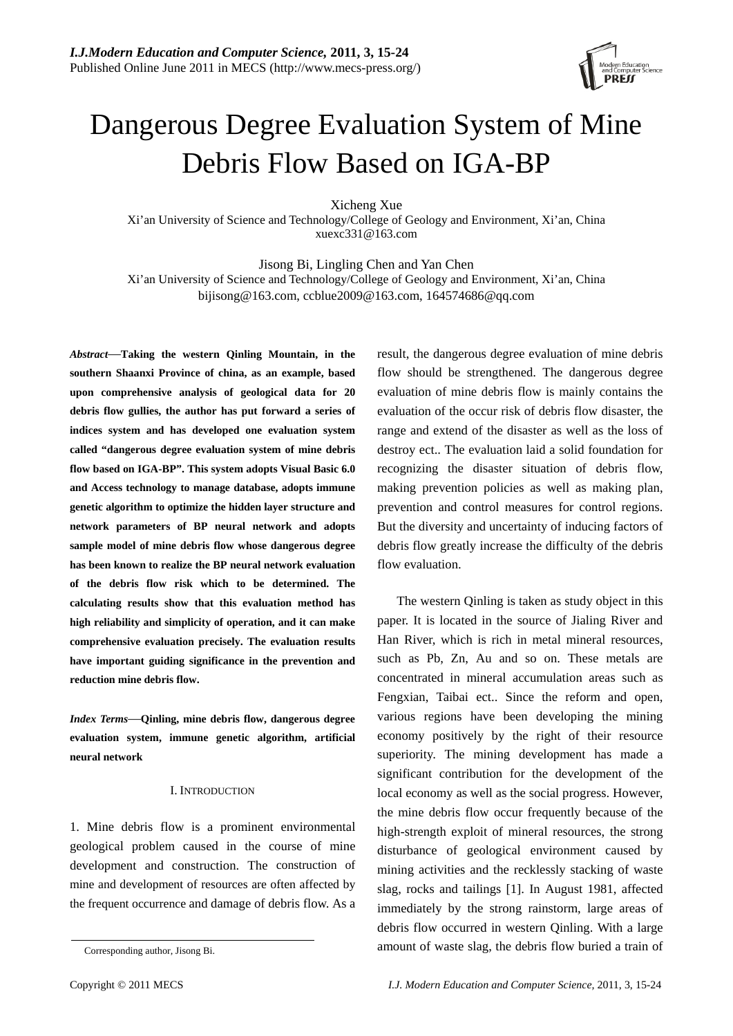

# Dangerous Degree Evaluation System of Mine Debris Flow Based on IGA-BP

Xicheng Xue

Xi'an University of Science and Technology/College of Geology and Environment, Xi'an, China xuexc331@163.com

Jisong Bi, Lingling Chen and Yan Chen

Xi'an University of Science and Technology/College of Geology and Environment, Xi'an, China bijisong@163.com, ccblue2009@163.com, 164574686@qq.com

*Abstract*—**Taking the western Qinling Mountain, in the southern Shaanxi Province of china, as an example, based upon comprehensive analysis of geological data for 20 debris flow gullies, the author has put forward a series of indices system and has developed one evaluation system called "dangerous degree evaluation system of mine debris flow based on IGA-BP". This system adopts Visual Basic 6.0 and Access technology to manage database, adopts immune genetic algorithm to optimize the hidden layer structure and network parameters of BP neural network and adopts sample model of mine debris flow whose dangerous degree has been known to realize the BP neural network evaluation of the debris flow risk which to be determined. The calculating results show that this evaluation method has high reliability and simplicity of operation, and it can make comprehensive evaluation precisely. The evaluation results have important guiding significance in the prevention and reduction mine debris flow.** 

*Index Terms*—**Qinling, mine debris flow, dangerous degree evaluation system, immune genetic algorithm, artificial neural network** 

### I. INTRODUCTION

1. Mine debris flow is a prominent environmental geological problem caused in the course of mine development and construction. The construction of mine and development of resources are often affected by the frequent occurrence and damage of debris flow. As a

result, the dangerous degree evaluation of mine debris flow should be strengthened. The dangerous degree evaluation of mine debris flow is mainly contains the evaluation of the occur risk of debris flow disaster, the range and extend of the disaster as well as the loss of destroy ect.. The evaluation laid a solid foundation for recognizing the disaster situation of debris flow, making prevention policies as well as making plan, prevention and control measures for control regions. But the diversity and uncertainty of inducing factors of debris flow greatly increase the difficulty of the debris flow evaluation.

The western Qinling is taken as study object in this paper. It is located in the source of Jialing River and Han River, which is rich in metal mineral resources, such as Pb, Zn, Au and so on. These metals are concentrated in mineral accumulation areas such as Fengxian, Taibai ect.. Since the reform and open, various regions have been developing the mining economy positively by the right of their resource superiority. The mining development has made a significant contribution for the development of the local economy as well as the social progress. However, the mine debris flow occur frequently because of the high-strength exploit of mineral resources, the strong disturbance of geological environment caused by mining activities and the recklessly stacking of waste slag, rocks and tailings [1]. In August 1981, affected immediately by the strong rainstorm, large areas of debris flow occurred in western Qinling. With a large amount of waste slag, the debris flow buried a train of

Corresponding author, Jisong Bi.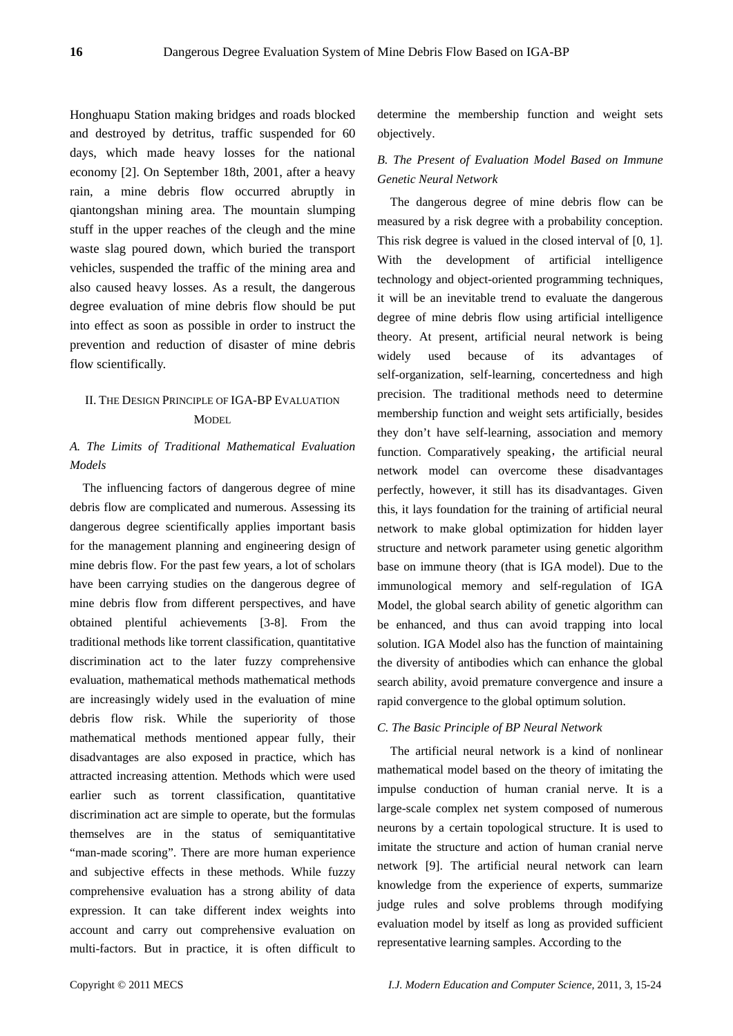Honghuapu Station making bridges and roads blocked and destroyed by detritus, traffic suspended for 60 days, which made heavy losses for the national economy [2]. On September 18th, 2001, after a heavy rain, a mine debris flow occurred abruptly in qiantongshan mining area. The mountain slumping stuff in the upper reaches of the cleugh and the mine waste slag poured down, which buried the transport vehicles, suspended the traffic of the mining area and also caused heavy losses. As a result, the dangerous degree evaluation of mine debris flow should be put into effect as soon as possible in order to instruct the prevention and reduction of disaster of mine debris flow scientifically.

## II. THE DESIGN PRINCIPLE OF IGA-BP EVALUATION **MODEL**

## *A. The Limits of Traditional Mathematical Evaluation Models*

The influencing factors of dangerous degree of mine debris flow are complicated and numerous. Assessing its dangerous degree scientifically applies important basis for the management planning and engineering design of mine debris flow. For the past few years, a lot of scholars have been carrying studies on the dangerous degree of mine debris flow from different perspectives, and have obtained plentiful achievements [3-8]. From the traditional methods like torrent classification, quantitative discrimination act to the later fuzzy comprehensive evaluation, mathematical methods mathematical methods are increasingly widely used in the evaluation of mine debris flow risk. While the superiority of those mathematical methods mentioned appear fully, their disadvantages are also exposed in practice, which has attracted increasing attention. Methods which were used earlier such as torrent classification, quantitative discrimination act are simple to operate, but the formulas themselves are in the status of semiquantitative "man-made scoring". There are more human experience and subjective effects in these methods. While fuzzy comprehensive evaluation has a strong ability of data expression. It can take different index weights into account and carry out comprehensive evaluation on multi-factors. But in practice, it is often difficult to

determine the membership function and weight sets objectively.

# *B. The Present of Evaluation Model Based on Immune Genetic Neural Network*

The dangerous degree of mine debris flow can be measured by a risk degree with a probability conception. This risk degree is valued in the closed interval of [0, 1]. With the development of artificial intelligence technology and object-oriented programming techniques, it will be an inevitable trend to evaluate the dangerous degree of mine debris flow using artificial intelligence theory. At present, artificial neural network is being widely used because of its advantages of self-organization, self-learning, concertedness and high precision. The traditional methods need to determine membership function and weight sets artificially, besides they don't have self-learning, association and memory function. Comparatively speaking, the artificial neural network model can overcome these disadvantages perfectly, however, it still has its disadvantages. Given this, it lays foundation for the training of artificial neural network to make global optimization for hidden layer structure and network parameter using genetic algorithm base on immune theory (that is IGA model). Due to the immunological memory and self-regulation of IGA Model, the global search ability of genetic algorithm can be enhanced, and thus can avoid trapping into local solution. IGA Model also has the function of maintaining the diversity of antibodies which can enhance the global search ability, avoid premature convergence and insure a rapid convergence to the global optimum solution.

## *C. The Basic Principle of BP Neural Network*

The artificial neural network is a kind of nonlinear mathematical model based on the theory of imitating the impulse conduction of human cranial nerve. It is a large-scale complex net system composed of numerous neurons by a certain topological structure. It is used to imitate the structure and action of human cranial nerve network [9]. The artificial neural network can learn knowledge from the experience of experts, summarize judge rules and solve problems through modifying evaluation model by itself as long as provided sufficient representative learning samples. According to the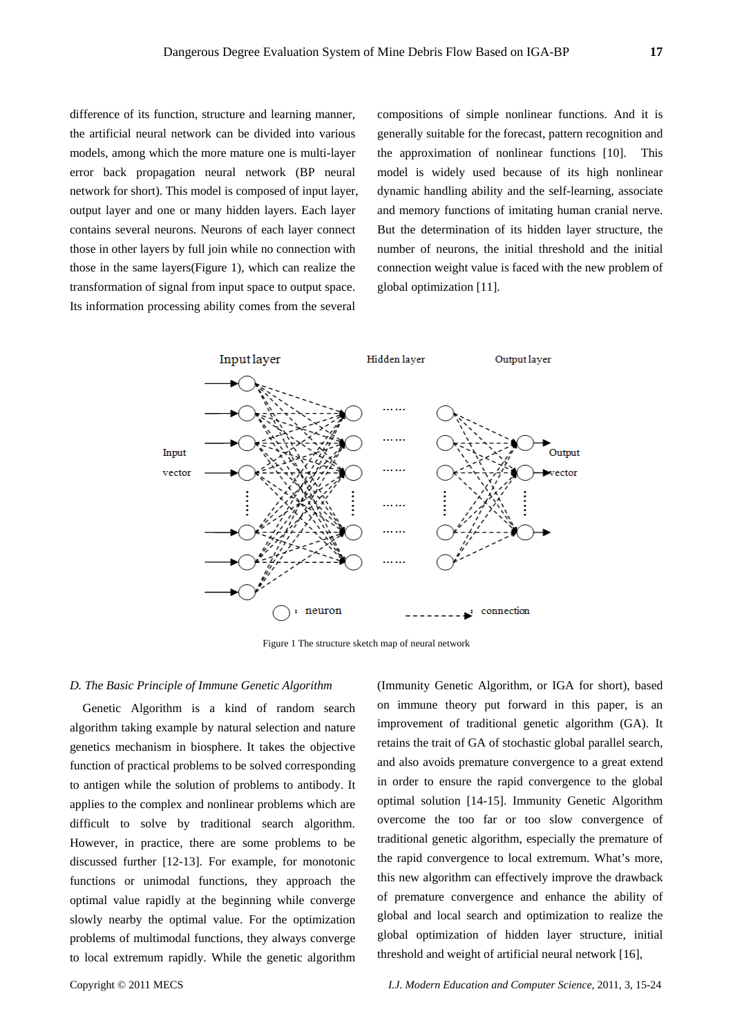difference of its function, structure and learning manner, the artificial neural network can be divided into various models, among which the more mature one is multi-layer error back propagation neural network (BP neural network for short). This model is composed of input layer, output layer and one or many hidden layers. Each layer contains several neurons. Neurons of each layer connect those in other layers by full join while no connection with those in the same layers(Figure 1), which can realize the transformation of signal from input space to output space. Its information processing ability comes from the several

compositions of simple nonlinear functions. And it is generally suitable for the forecast, pattern recognition and the approximation of nonlinear functions [10]. This model is widely used because of its high nonlinear dynamic handling ability and the self-learning, associate and memory functions of imitating human cranial nerve. But the determination of its hidden layer structure, the number of neurons, the initial threshold and the initial connection weight value is faced with the new problem of global optimization [11].



Figure 1 The structure sketch map of neural network

#### *D. The Basic Principle of Immune Genetic Algorithm*

Genetic Algorithm is a kind of random search algorithm taking example by natural selection and nature genetics mechanism in biosphere. It takes the objective function of practical problems to be solved corresponding to antigen while the solution of problems to antibody. It applies to the complex and nonlinear problems which are difficult to solve by traditional search algorithm. However, in practice, there are some problems to be discussed further [12-13]. For example, for monotonic functions or unimodal functions, they approach the optimal value rapidly at the beginning while converge slowly nearby the optimal value. For the optimization problems of multimodal functions, they always converge to local extremum rapidly. While the genetic algorithm (Immunity Genetic Algorithm, or IGA for short), based on immune theory put forward in this paper, is an improvement of traditional genetic algorithm (GA). It retains the trait of GA of stochastic global parallel search, and also avoids premature convergence to a great extend in order to ensure the rapid convergence to the global optimal solution [14-15]. Immunity Genetic Algorithm overcome the too far or too slow convergence of traditional genetic algorithm, especially the premature of the rapid convergence to local extremum. What's more, this new algorithm can effectively improve the drawback of premature convergence and enhance the ability of global and local search and optimization to realize the global optimization of hidden layer structure, initial threshold and weight of artificial neural network [16],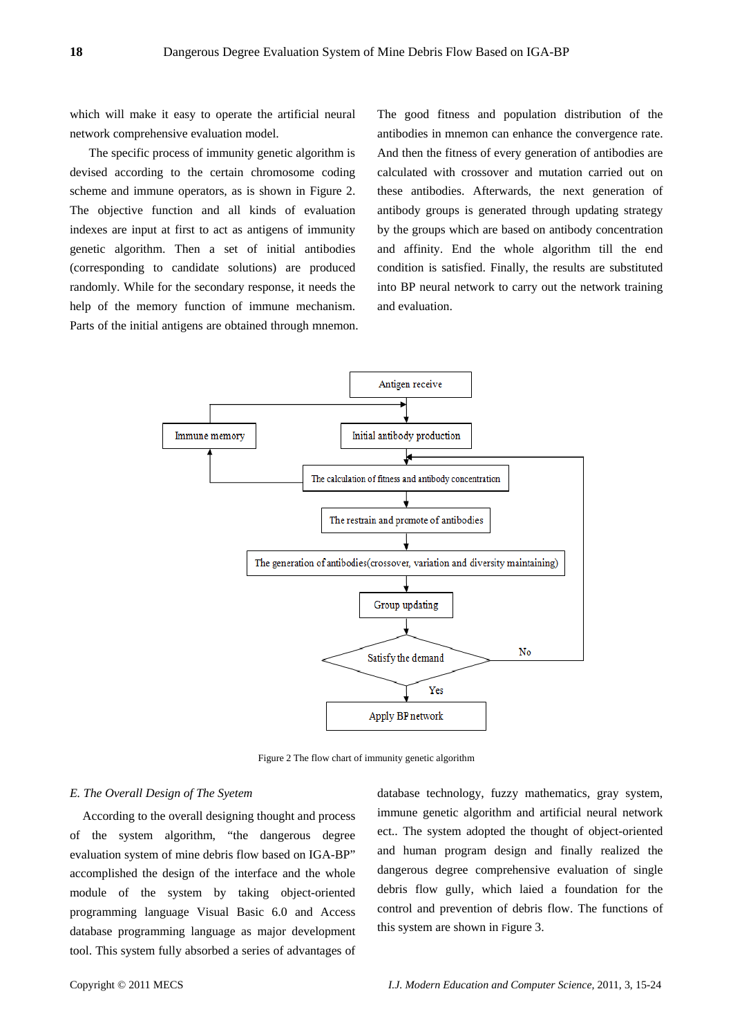which will make it easy to operate the artificial neural network comprehensive evaluation model.

 The specific process of immunity genetic algorithm is devised according to the certain chromosome coding scheme and immune operators, as is shown in Figure 2. The objective function and all kinds of evaluation indexes are input at first to act as antigens of immunity genetic algorithm. Then a set of initial antibodies (corresponding to candidate solutions) are produced randomly. While for the secondary response, it needs the help of the memory function of immune mechanism. Parts of the initial antigens are obtained through mnemon. The good fitness and population distribution of the antibodies in mnemon can enhance the convergence rate. And then the fitness of every generation of antibodies are calculated with crossover and mutation carried out on these antibodies. Afterwards, the next generation of antibody groups is generated through updating strategy by the groups which are based on antibody concentration and affinity. End the whole algorithm till the end condition is satisfied. Finally, the results are substituted into BP neural network to carry out the network training and evaluation.



Figure 2 The flow chart of immunity genetic algorithm

#### *E. The Overall Design of The Syetem*

According to the overall designing thought and process of the system algorithm, "the dangerous degree evaluation system of mine debris flow based on IGA-BP" accomplished the design of the interface and the whole module of the system by taking object-oriented programming language Visual Basic 6.0 and Access database programming language as major development tool. This system fully absorbed a series of advantages of database technology, fuzzy mathematics, gray system, immune genetic algorithm and artificial neural network ect.. The system adopted the thought of object-oriented and human program design and finally realized the dangerous degree comprehensive evaluation of single debris flow gully, which laied a foundation for the control and prevention of debris flow. The functions of this system are shown in Figure 3.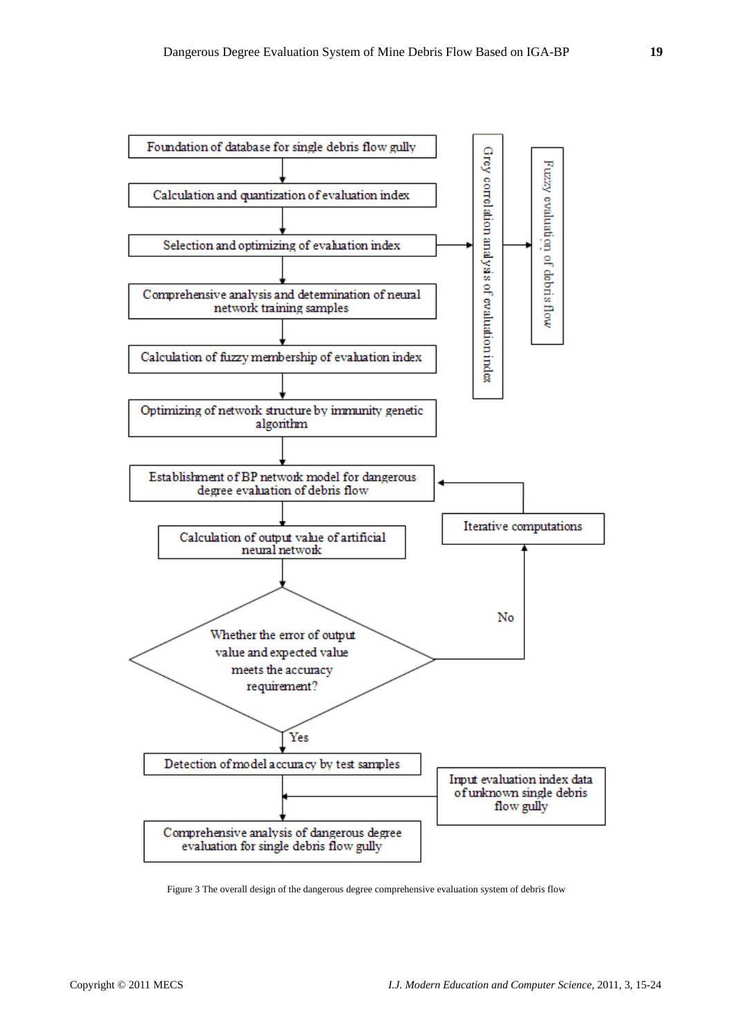

Figure 3 The overall design of the dangerous degree comprehensive evaluation system of debris flow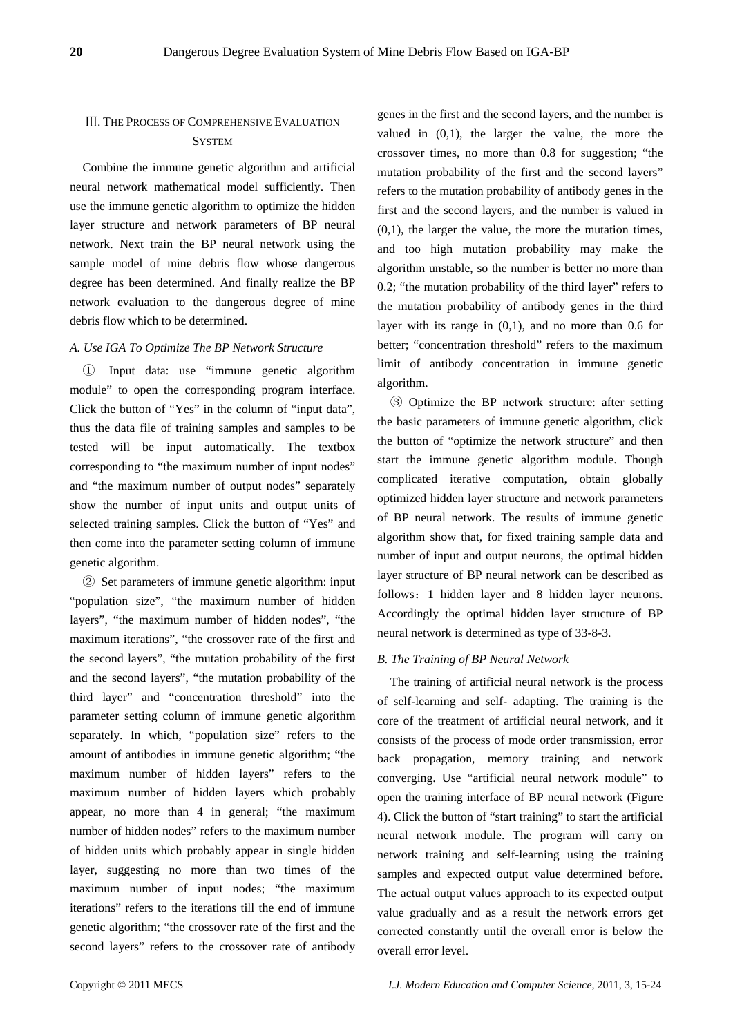## Ⅲ. THE PROCESS OF COMPREHENSIVE EVALUATION **SYSTEM**

Combine the immune genetic algorithm and artificial neural network mathematical model sufficiently. Then use the immune genetic algorithm to optimize the hidden layer structure and network parameters of BP neural network. Next train the BP neural network using the sample model of mine debris flow whose dangerous degree has been determined. And finally realize the BP network evaluation to the dangerous degree of mine debris flow which to be determined.

## *A. Use IGA To Optimize The BP Network Structure*

① Input data: use "immune genetic algorithm module" to open the corresponding program interface. Click the button of "Yes" in the column of "input data", thus the data file of training samples and samples to be tested will be input automatically. The textbox corresponding to "the maximum number of input nodes" and "the maximum number of output nodes" separately show the number of input units and output units of selected training samples. Click the button of "Yes" and then come into the parameter setting column of immune genetic algorithm.

② Set parameters of immune genetic algorithm: input "population size", "the maximum number of hidden layers", "the maximum number of hidden nodes", "the maximum iterations", "the crossover rate of the first and the second layers", "the mutation probability of the first and the second layers", "the mutation probability of the third layer" and "concentration threshold" into the parameter setting column of immune genetic algorithm separately. In which, "population size" refers to the amount of antibodies in immune genetic algorithm; "the maximum number of hidden layers" refers to the maximum number of hidden layers which probably appear, no more than 4 in general; "the maximum number of hidden nodes" refers to the maximum number of hidden units which probably appear in single hidden layer, suggesting no more than two times of the maximum number of input nodes; "the maximum iterations" refers to the iterations till the end of immune genetic algorithm; "the crossover rate of the first and the second layers" refers to the crossover rate of antibody

genes in the first and the second layers, and the number is valued in (0,1), the larger the value, the more the crossover times, no more than 0.8 for suggestion; "the mutation probability of the first and the second layers" refers to the mutation probability of antibody genes in the first and the second layers, and the number is valued in  $(0,1)$ , the larger the value, the more the mutation times, and too high mutation probability may make the algorithm unstable, so the number is better no more than 0.2; "the mutation probability of the third layer" refers to the mutation probability of antibody genes in the third layer with its range in (0,1), and no more than 0.6 for better; "concentration threshold" refers to the maximum limit of antibody concentration in immune genetic algorithm.

③ Optimize the BP network structure: after setting the basic parameters of immune genetic algorithm, click the button of "optimize the network structure" and then start the immune genetic algorithm module. Though complicated iterative computation, obtain globally optimized hidden layer structure and network parameters of BP neural network. The results of immune genetic algorithm show that, for fixed training sample data and number of input and output neurons, the optimal hidden layer structure of BP neural network can be described as follows:1 hidden layer and 8 hidden layer neurons. Accordingly the optimal hidden layer structure of BP neural network is determined as type of 33-8-3.

#### *B. The Training of BP Neural Network*

The training of artificial neural network is the process of self-learning and self- adapting. The training is the core of the treatment of artificial neural network, and it consists of the process of mode order transmission, error back propagation, memory training and network converging. Use "artificial neural network module" to open the training interface of BP neural network (Figure 4). Click the button of "start training" to start the artificial neural network module. The program will carry on network training and self-learning using the training samples and expected output value determined before. The actual output values approach to its expected output value gradually and as a result the network errors get corrected constantly until the overall error is below the overall error level.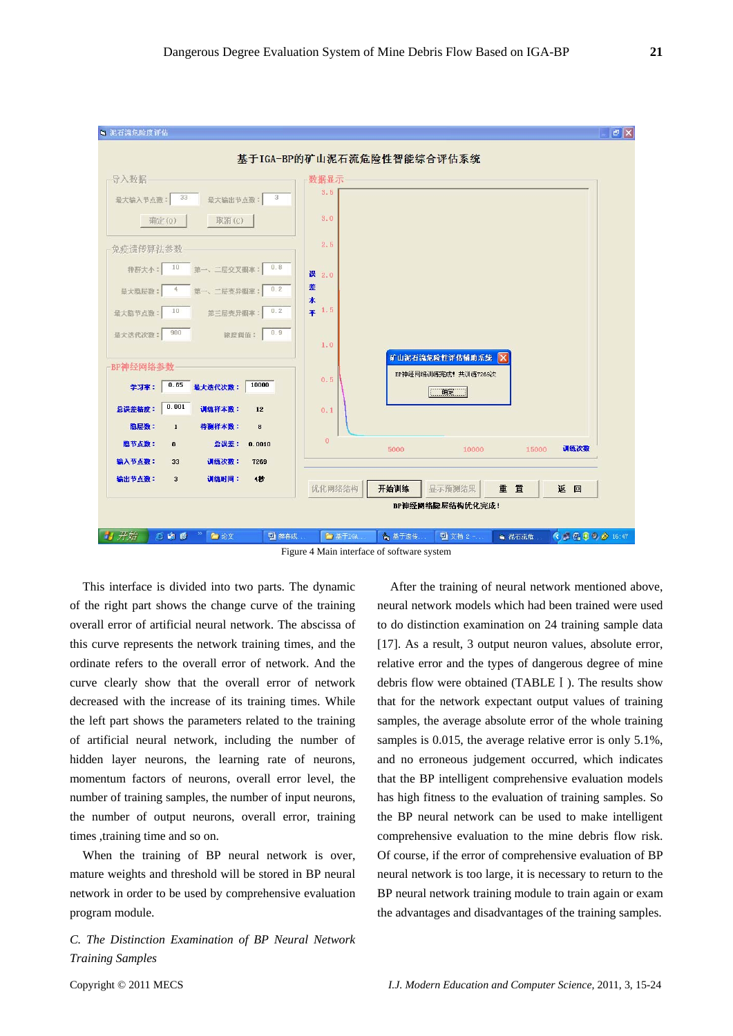

Figure 4 Main interface of software system

This interface is divided into two parts. The dynamic of the right part shows the change curve of the training overall error of artificial neural network. The abscissa of this curve represents the network training times, and the ordinate refers to the overall error of network. And the curve clearly show that the overall error of network decreased with the increase of its training times. While the left part shows the parameters related to the training of artificial neural network, including the number of hidden layer neurons, the learning rate of neurons, momentum factors of neurons, overall error level, the number of training samples, the number of input neurons, the number of output neurons, overall error, training times ,training time and so on.

When the training of BP neural network is over, mature weights and threshold will be stored in BP neural network in order to be used by comprehensive evaluation program module.

*C. The Distinction Examination of BP Neural Network Training Samples* 

After the training of neural network mentioned above, neural network models which had been trained were used to do distinction examination on 24 training sample data [17]. As a result, 3 output neuron values, absolute error, relative error and the types of dangerous degree of mine debris flow were obtained (TABLEⅠ). The results show that for the network expectant output values of training samples, the average absolute error of the whole training samples is 0.015, the average relative error is only 5.1%, and no erroneous judgement occurred, which indicates that the BP intelligent comprehensive evaluation models has high fitness to the evaluation of training samples. So the BP neural network can be used to make intelligent comprehensive evaluation to the mine debris flow risk. Of course, if the error of comprehensive evaluation of BP neural network is too large, it is necessary to return to the BP neural network training module to train again or exam the advantages and disadvantages of the training samples.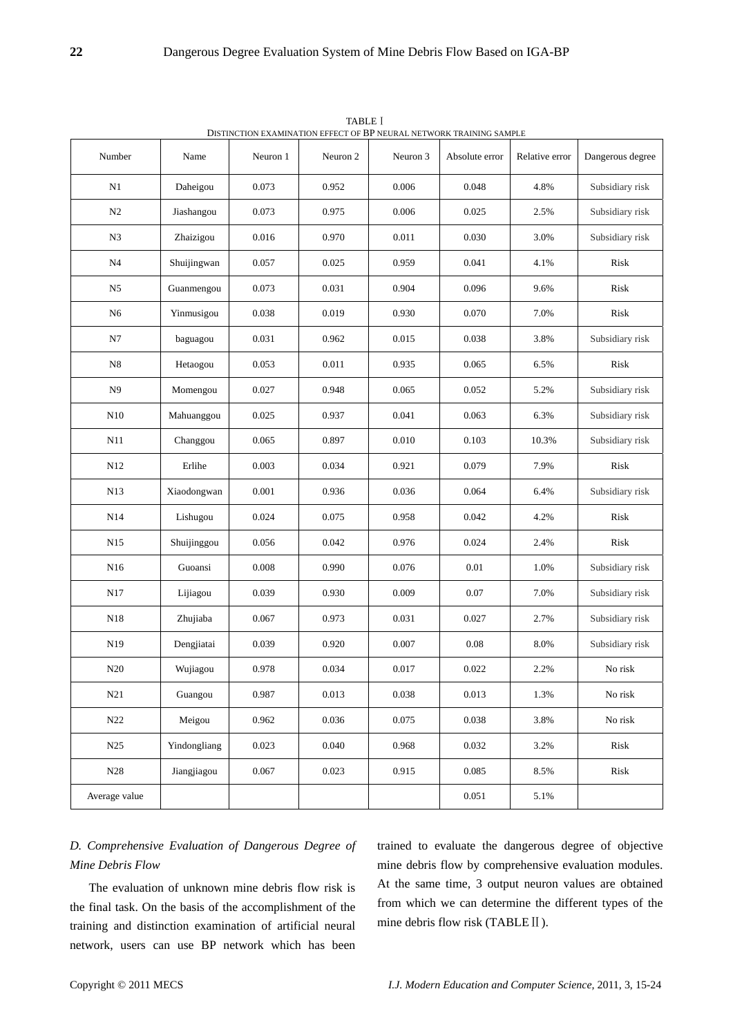| DISTINCTION EXAMINATION EFFECT OF BP NEURAL NETWORK TRAINING SAMPLE |              |          |           |          |                |                |                  |  |  |  |
|---------------------------------------------------------------------|--------------|----------|-----------|----------|----------------|----------------|------------------|--|--|--|
| Number                                                              | Name         | Neuron 1 | Neuron 2  | Neuron 3 | Absolute error | Relative error | Dangerous degree |  |  |  |
| N1                                                                  | Daheigou     | 0.073    | 0.952     | 0.006    | 0.048          | 4.8%           | Subsidiary risk  |  |  |  |
| N <sub>2</sub>                                                      | Jiashangou   | 0.073    | 0.975     | 0.006    | 0.025          | 2.5%           | Subsidiary risk  |  |  |  |
| N <sub>3</sub>                                                      | Zhaizigou    | 0.016    | 0.970     | 0.011    | 0.030          | 3.0%           | Subsidiary risk  |  |  |  |
| N <sub>4</sub>                                                      | Shuijingwan  | 0.057    | 0.025     | 0.959    | 0.041          | 4.1%           | Risk             |  |  |  |
| N <sub>5</sub>                                                      | Guanmengou   | 0.073    | 0.031     | 0.904    | 0.096          | 9.6%           | Risk             |  |  |  |
| N <sub>6</sub>                                                      | Yinmusigou   | 0.038    | 0.019     | 0.930    | 0.070          | 7.0%           | Risk             |  |  |  |
| ${\bf N7}$                                                          | baguagou     | 0.031    | 0.962     | 0.015    | 0.038          | 3.8%           | Subsidiary risk  |  |  |  |
| $_{\rm N8}$                                                         | Hetaogou     | 0.053    | 0.011     | 0.935    | 0.065          | 6.5%           | Risk             |  |  |  |
| N <sub>9</sub>                                                      | Momengou     | 0.027    | 0.948     | 0.065    | 0.052          | 5.2%           | Subsidiary risk  |  |  |  |
| N10                                                                 | Mahuanggou   | 0.025    | 0.937     | 0.041    | 0.063          | 6.3%           | Subsidiary risk  |  |  |  |
| N11                                                                 | Changgou     | 0.065    | 0.897     | 0.010    | 0.103          | 10.3%          | Subsidiary risk  |  |  |  |
| N12                                                                 | Erlihe       | 0.003    | 0.034     | 0.921    | 0.079          | 7.9%           | Risk             |  |  |  |
| N13                                                                 | Xiaodongwan  | 0.001    | 0.936     | 0.036    | 0.064          | 6.4%           | Subsidiary risk  |  |  |  |
| N14                                                                 | Lishugou     | 0.024    | 0.075     | 0.958    | 0.042          | 4.2%           | Risk             |  |  |  |
| N <sub>15</sub>                                                     | Shuijinggou  | 0.056    | 0.042     | 0.976    | 0.024          | 2.4%           | Risk             |  |  |  |
| N16                                                                 | Guoansi      | 0.008    | 0.990     | 0.076    | $0.01\,$       | 1.0%           | Subsidiary risk  |  |  |  |
| N17                                                                 | Lijiagou     | 0.039    | 0.930     | 0.009    | $0.07\,$       | 7.0%           | Subsidiary risk  |  |  |  |
| N18                                                                 | Zhujiaba     | 0.067    | 0.973     | 0.031    | 0.027          | 2.7%           | Subsidiary risk  |  |  |  |
| N19                                                                 | Dengjiatai   | 0.039    | 0.920     | 0.007    | $0.08\,$       | 8.0%           | Subsidiary risk  |  |  |  |
| N20                                                                 | Wujiagou     | 0.978    | 0.034     | 0.017    | 0.022          | 2.2%           | No risk          |  |  |  |
| N21                                                                 | Guangou      | 0.987    | 0.013     | 0.038    | 0.013          | 1.3%           | No risk          |  |  |  |
| N22                                                                 | Meigou       | 0.962    | $0.036\,$ | 0.075    | 0.038          | 3.8%           | No risk          |  |  |  |
| N25                                                                 | Yindongliang | 0.023    | 0.040     | 0.968    | 0.032          | 3.2%           | Risk             |  |  |  |
| N28                                                                 | Jiangjiagou  | 0.067    | 0.023     | 0.915    | 0.085          | 8.5%           | Risk             |  |  |  |
| Average value                                                       |              |          |           |          | $0.051\,$      | 5.1%           |                  |  |  |  |

TABLE Ⅰ

# *D. Comprehensive Evaluation of Dangerous Degree of Mine Debris Flow*

 The evaluation of unknown mine debris flow risk is the final task. On the basis of the accomplishment of the training and distinction examination of artificial neural network, users can use BP network which has been trained to evaluate the dangerous degree of objective mine debris flow by comprehensive evaluation modules. At the same time, 3 output neuron values are obtained from which we can determine the different types of the mine debris flow risk (TABLEⅡ).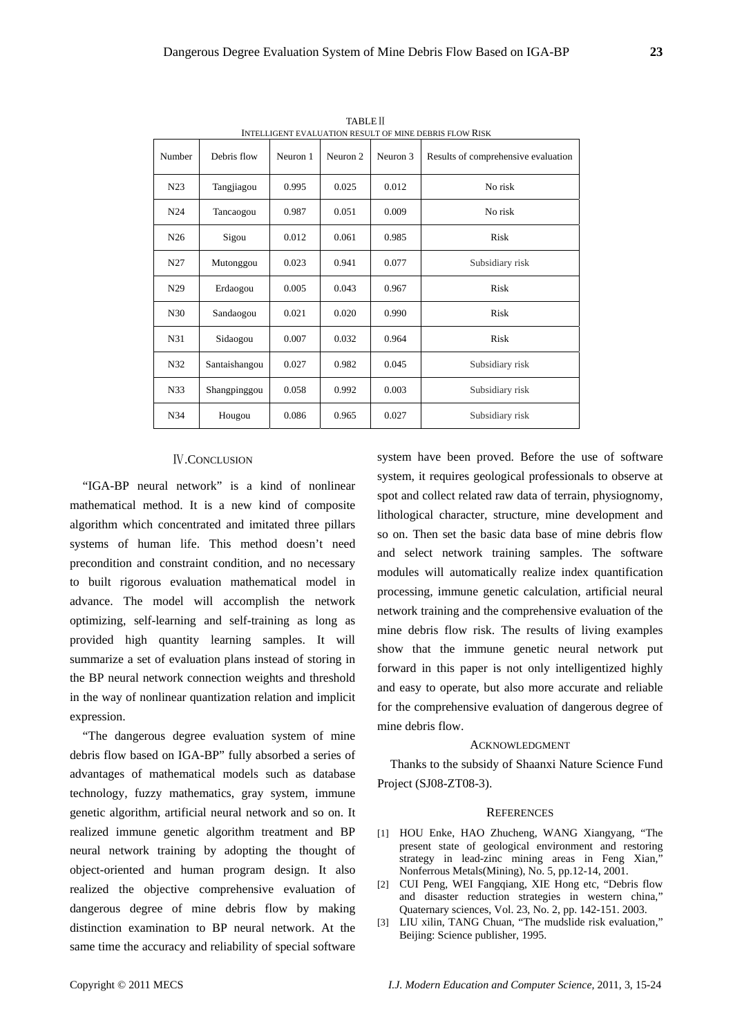| INTEELIJENT E VALUATION REJULT OF MINE DEDRIJ FEO W RIJR |               |          |          |          |                                     |  |  |  |  |
|----------------------------------------------------------|---------------|----------|----------|----------|-------------------------------------|--|--|--|--|
| Number                                                   | Debris flow   | Neuron 1 | Neuron 2 | Neuron 3 | Results of comprehensive evaluation |  |  |  |  |
| N <sub>23</sub>                                          | Tangjiagou    | 0.995    | 0.025    | 0.012    | No risk                             |  |  |  |  |
| N24                                                      | Tancaogou     | 0.987    | 0.051    | 0.009    | No risk                             |  |  |  |  |
| N <sub>26</sub>                                          | Sigou         | 0.012    | 0.061    | 0.985    | Risk                                |  |  |  |  |
| N <sub>27</sub>                                          | Mutonggou     | 0.023    | 0.941    | 0.077    | Subsidiary risk                     |  |  |  |  |
| N <sub>29</sub>                                          | Erdaogou      | 0.005    | 0.043    | 0.967    | Risk                                |  |  |  |  |
| N <sub>30</sub>                                          | Sandaogou     | 0.021    | 0.020    | 0.990    | Risk                                |  |  |  |  |
| N31                                                      | Sidaogou      | 0.007    | 0.032    | 0.964    | Risk                                |  |  |  |  |
| N32                                                      | Santaishangou | 0.027    | 0.982    | 0.045    | Subsidiary risk                     |  |  |  |  |
| N <sub>33</sub>                                          | Shangpinggou  | 0.058    | 0.992    | 0.003    | Subsidiary risk                     |  |  |  |  |
| N34                                                      | Hougou        | 0.086    | 0.965    | 0.027    | Subsidiary risk                     |  |  |  |  |

TABLEⅡ INTELLIGENT EVALUATION RESULT OF MINE DERRIS FLOW RISK

## Ⅳ.CONCLUSION

"IGA-BP neural network" is a kind of nonlinear mathematical method. It is a new kind of composite algorithm which concentrated and imitated three pillars systems of human life. This method doesn't need precondition and constraint condition, and no necessary to built rigorous evaluation mathematical model in advance. The model will accomplish the network optimizing, self-learning and self-training as long as provided high quantity learning samples. It will summarize a set of evaluation plans instead of storing in the BP neural network connection weights and threshold in the way of nonlinear quantization relation and implicit expression.

"The dangerous degree evaluation system of mine debris flow based on IGA-BP" fully absorbed a series of advantages of mathematical models such as database technology, fuzzy mathematics, gray system, immune genetic algorithm, artificial neural network and so on. It realized immune genetic algorithm treatment and BP neural network training by adopting the thought of object-oriented and human program design. It also realized the objective comprehensive evaluation of dangerous degree of mine debris flow by making distinction examination to BP neural network. At the same time the accuracy and reliability of special software

system have been proved. Before the use of software system, it requires geological professionals to observe at spot and collect related raw data of terrain, physiognomy, lithological character, structure, mine development and so on. Then set the basic data base of mine debris flow and select network training samples. The software modules will automatically realize index quantification processing, immune genetic calculation, artificial neural network training and the comprehensive evaluation of the mine debris flow risk. The results of living examples show that the immune genetic neural network put forward in this paper is not only intelligentized highly and easy to operate, but also more accurate and reliable for the comprehensive evaluation of dangerous degree of mine debris flow.

#### ACKNOWLEDGMENT

Thanks to the subsidy of Shaanxi Nature Science Fund Project (SJ08-ZT08-3).

#### **REFERENCES**

- [1] HOU Enke, HAO Zhucheng, WANG Xiangyang, "The present state of geological environment and restoring strategy in lead-zinc mining areas in Feng Xian," Nonferrous Metals(Mining), No. 5, pp.12-14, 2001.
- [2] CUI Peng, WEI Fangqiang, XIE Hong etc, "Debris flow and disaster reduction strategies in western china," Quaternary sciences, Vol. 23, No. 2, pp. 142-151. 2003.
- [3] LIU xilin, TANG Chuan, "The mudslide risk evaluation," Beijing: Science publisher, 1995.